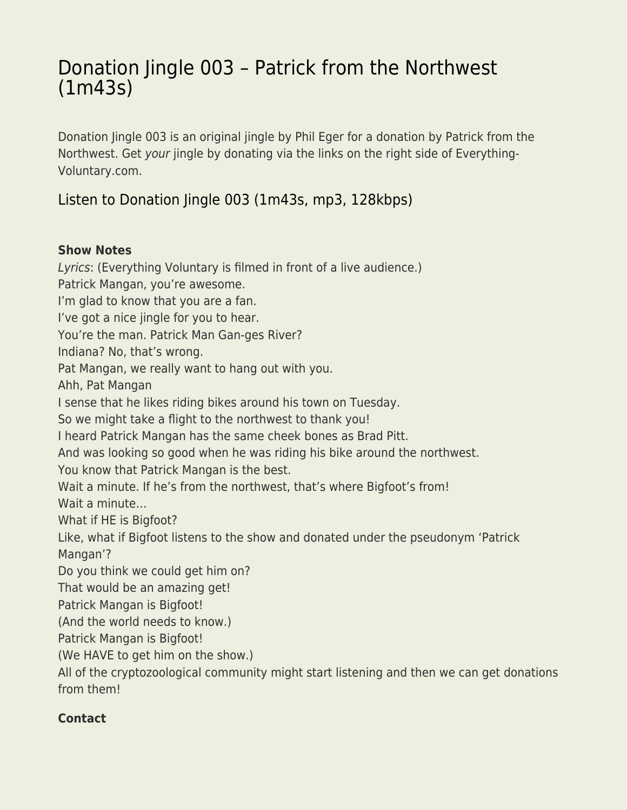# [Donation Jingle 003 – Patrick from the Northwest](https://everything-voluntary.com/donation-jingle-003-patrick-from-the-northwest-1m43s) [\(1m43s\)](https://everything-voluntary.com/donation-jingle-003-patrick-from-the-northwest-1m43s)

Donation Jingle 003 is an original jingle by Phil Eger for a donation by Patrick from the Northwest. Get your jingle by donating via the links on the right side of Everything-Voluntary.com.

# [Listen to Donation Jingle 003 \(1m43s, mp3, 128kbps\)](https://archive.org/download/003EVCDonationJingle/003EVCDonationJingle.mp3)

#### **Show Notes**

Lyrics: (Everything Voluntary is filmed in front of a live audience.) Patrick Mangan, you're awesome. I'm glad to know that you are a fan. I've got a nice jingle for you to hear. You're the man. Patrick Man Gan-ges River? Indiana? No, that's wrong. Pat Mangan, we really want to hang out with you. Ahh, Pat Mangan I sense that he likes riding bikes around his town on Tuesday. So we might take a flight to the northwest to thank you! I heard Patrick Mangan has the same cheek bones as Brad Pitt. And was looking so good when he was riding his bike around the northwest. You know that Patrick Mangan is the best. Wait a minute. If he's from the northwest, that's where Bigfoot's from! Wait a minute… What if HE is Bigfoot? Like, what if Bigfoot listens to the show and donated under the pseudonym 'Patrick Mangan'? Do you think we could get him on? That would be an amazing get! Patrick Mangan is Bigfoot! (And the world needs to know.) Patrick Mangan is Bigfoot! (We HAVE to get him on the show.) All of the cryptozoological community might start listening and then we can get donations from them!

## **Contact**